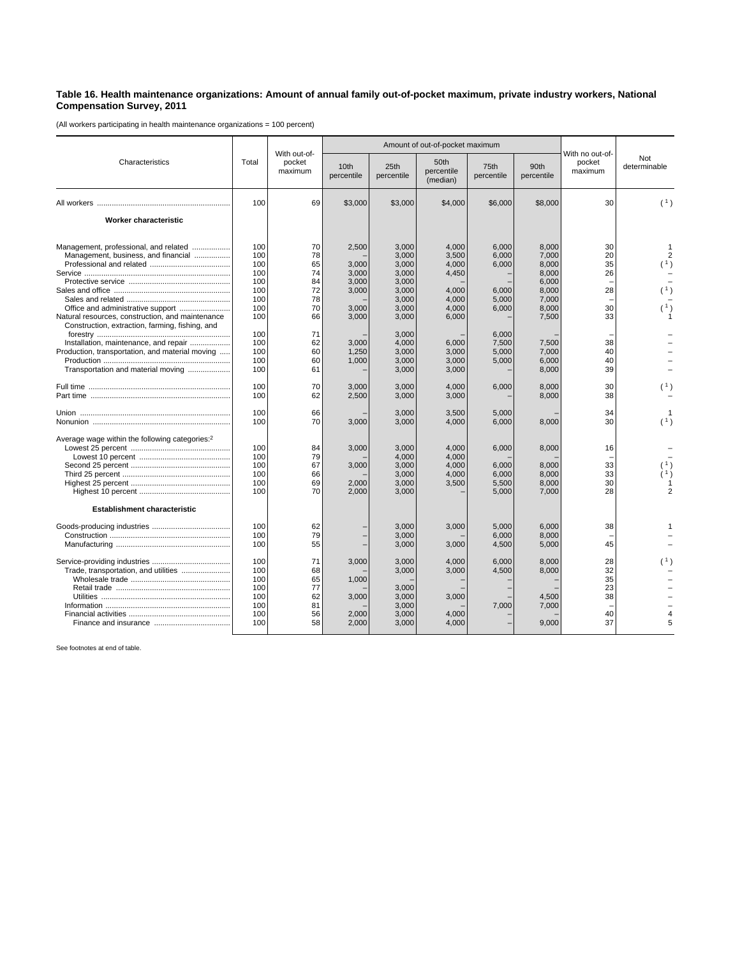## **Table 16. Health maintenance organizations: Amount of annual family out-of-pocket maximum, private industry workers, National Compensation Survey, 2011**

(All workers participating in health maintenance organizations = 100 percent)

| Characteristics                                                                                     | Total | With out-of-<br>pocket<br>maximum |                                | Amount of out-of-pocket maximum |                                |                    |                    |                                      |                     |
|-----------------------------------------------------------------------------------------------------|-------|-----------------------------------|--------------------------------|---------------------------------|--------------------------------|--------------------|--------------------|--------------------------------------|---------------------|
|                                                                                                     |       |                                   | 10 <sub>th</sub><br>percentile | 25th<br>percentile              | 50th<br>percentile<br>(median) | 75th<br>percentile | 90th<br>percentile | With no out-of-<br>pocket<br>maximum | Not<br>determinable |
|                                                                                                     | 100   | 69                                | \$3,000                        | \$3,000                         | \$4,000                        | \$6,000            | \$8,000            | 30                                   | (1)                 |
| Worker characteristic                                                                               |       |                                   |                                |                                 |                                |                    |                    |                                      |                     |
| Management, professional, and related                                                               | 100   | 70                                | 2,500                          | 3,000                           | 4,000                          | 6,000              | 8,000              | 30                                   | 1                   |
| Management, business, and financial                                                                 | 100   | 78                                |                                | 3,000                           | 3,500                          | 6,000              | 7,000              | 20                                   |                     |
|                                                                                                     | 100   | 65                                | 3.000                          | 3,000                           | 4,000                          | 6.000              | 8.000              | 35                                   | (1)                 |
|                                                                                                     | 100   | 74                                | 3,000                          | 3.000                           | 4,450                          |                    | 8,000              | 26                                   |                     |
|                                                                                                     | 100   | 84                                | 3,000                          | 3,000                           |                                |                    | 6,000              |                                      |                     |
|                                                                                                     | 100   | 72                                | 3,000                          | 3,000                           | 4,000                          | 6,000              | 8,000              | 28                                   | (1)                 |
|                                                                                                     | 100   | 78                                |                                | 3,000                           | 4,000                          | 5,000              | 7,000              |                                      |                     |
|                                                                                                     | 100   | 70                                | 3,000                          | 3,000                           | 4,000                          | 6,000              | 8,000              | 30                                   | (1)                 |
| Natural resources, construction, and maintenance<br>Construction, extraction, farming, fishing, and | 100   | 66                                | 3,000                          | 3,000                           | 6,000                          |                    | 7,500              | 33                                   |                     |
|                                                                                                     | 100   | 71                                |                                | 3.000                           |                                | 6.000              |                    |                                      |                     |
| Installation, maintenance, and repair                                                               | 100   | 62                                | 3,000                          | 4,000                           | 6,000                          | 7,500              | 7,500              | 38                                   |                     |
| Production, transportation, and material moving                                                     | 100   | 60                                | 1,250                          | 3,000                           | 3,000                          | 5,000              | 7,000              | 40                                   |                     |
|                                                                                                     | 100   | 60                                | 1,000                          | 3,000                           | 3,000                          | 5,000              | 6,000              | 40                                   |                     |
| Transportation and material moving                                                                  | 100   | 61                                |                                | 3,000                           | 3,000                          |                    | 8,000              | 39                                   |                     |
|                                                                                                     | 100   | 70                                | 3,000                          | 3,000                           | 4,000                          | 6,000              | 8,000              | 30                                   | (1)                 |
|                                                                                                     | 100   | 62                                | 2,500                          | 3,000                           | 3,000                          |                    | 8,000              | 38                                   |                     |
|                                                                                                     | 100   | 66                                |                                | 3,000                           | 3,500                          | 5,000              |                    | 34                                   |                     |
|                                                                                                     | 100   | 70                                | 3,000                          | 3,000                           | 4,000                          | 6,000              | 8,000              | 30                                   | (1)                 |
| Average wage within the following categories: <sup>2</sup>                                          |       |                                   |                                |                                 |                                |                    |                    |                                      |                     |
|                                                                                                     | 100   | 84                                | 3,000                          | 3,000                           | 4,000                          | 6,000              | 8,000              | 16                                   |                     |
|                                                                                                     | 100   | 79                                |                                | 4,000                           | 4,000                          |                    |                    |                                      |                     |
|                                                                                                     | 100   | 67                                | 3,000                          | 3,000                           | 4,000                          | 6,000              | 8,000              | 33                                   |                     |
|                                                                                                     | 100   | 66                                |                                | 3,000                           | 4,000                          | 6,000              | 8,000              | 33                                   |                     |
|                                                                                                     | 100   | 69                                | 2,000                          | 3,000                           | 3,500                          | 5,500              | 8,000              | 30                                   |                     |
|                                                                                                     | 100   | 70                                | 2,000                          | 3,000                           |                                | 5,000              | 7,000              | 28                                   |                     |
| <b>Establishment characteristic</b>                                                                 |       |                                   |                                |                                 |                                |                    |                    |                                      |                     |
|                                                                                                     | 100   | 62                                |                                | 3,000                           | 3,000                          | 5,000              | 6,000              | 38                                   |                     |
|                                                                                                     | 100   | 79                                |                                | 3,000                           |                                | 6.000              | 8,000              |                                      |                     |
|                                                                                                     | 100   | 55                                |                                | 3,000                           | 3,000                          | 4,500              | 5,000              | 45                                   |                     |
|                                                                                                     |       |                                   |                                |                                 |                                |                    |                    |                                      |                     |
|                                                                                                     | 100   | 71                                | 3,000                          | 3,000                           | 4,000                          | 6,000              | 8,000              | 28                                   |                     |
| Trade, transportation, and utilities                                                                | 100   | 68                                |                                | 3,000                           | 3,000                          | 4,500              | 8,000              | 32                                   |                     |
|                                                                                                     | 100   | 65                                | 1,000                          |                                 |                                |                    |                    | 35                                   |                     |
|                                                                                                     | 100   | 77                                |                                | 3,000                           |                                |                    |                    | 23                                   |                     |
|                                                                                                     | 100   | 62                                | 3,000                          | 3,000                           | 3,000                          |                    | 4,500              | 38                                   |                     |
|                                                                                                     | 100   | 81                                |                                | 3,000                           |                                | 7,000              | 7,000              |                                      |                     |
|                                                                                                     | 100   | 56                                | 2,000                          | 3,000                           | 4,000                          |                    |                    | 40                                   |                     |
|                                                                                                     | 100   | 58                                | 2,000                          | 3,000                           | 4,000                          |                    | 9,000              | 37                                   | 5                   |

See footnotes at end of table.